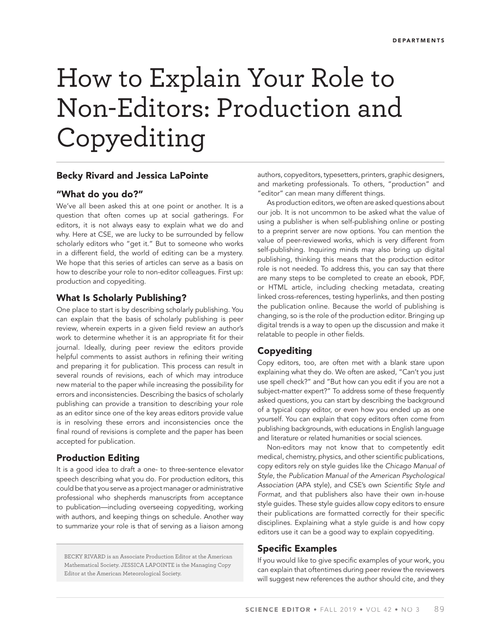# How to Explain Your Role to Non-Editors: Production and Copyediting

#### **Becky Rivard and Jessica LaPointe**

## **"What do you do?"**

We've all been asked this at one point or another. It is a question that often comes up at social gatherings. For editors, it is not always easy to explain what we do and why. Here at CSE, we are lucky to be surrounded by fellow scholarly editors who "get it." But to someone who works in a different field, the world of editing can be a mystery. We hope that this series of articles can serve as a basis on how to describe your role to non-editor colleagues. First up: production and copyediting.

## **What Is Scholarly Publishing?**

One place to start is by describing scholarly publishing. You can explain that the basis of scholarly publishing is peer review, wherein experts in a given field review an author's work to determine whether it is an appropriate fit for their journal. Ideally, during peer review the editors provide helpful comments to assist authors in refining their writing and preparing it for publication. This process can result in several rounds of revisions, each of which may introduce new material to the paper while increasing the possibility for errors and inconsistencies. Describing the basics of scholarly publishing can provide a transition to describing your role as an editor since one of the key areas editors provide value is in resolving these errors and inconsistencies once the final round of revisions is complete and the paper has been accepted for publication.

## **Production Editing**

It is a good idea to draft a one- to three-sentence elevator speech describing what you do. For production editors, this could be that you serve as a project manager or administrative professional who shepherds manuscripts from acceptance to publication—including overseeing copyediting, working with authors, and keeping things on schedule. Another way to summarize your role is that of serving as a liaison among

BECKY RIVARD is an Associate Production Editor at the American Mathematical Society. JESSICA LAPOINTE is the Managing Copy Editor at the American Meteorological Society.

authors, copyeditors, typesetters, printers, graphic designers, and marketing professionals. To others, "production" and "editor" can mean many different things.

As production editors, we often are asked questions about our job. It is not uncommon to be asked what the value of using a publisher is when self-publishing online or posting to a preprint server are now options. You can mention the value of peer-reviewed works, which is very different from self-publishing. Inquiring minds may also bring up digital publishing, thinking this means that the production editor role is not needed. To address this, you can say that there are many steps to be completed to create an ebook, PDF, or HTML article, including checking metadata, creating linked cross-references, testing hyperlinks, and then posting the publication online. Because the world of publishing is changing, so is the role of the production editor. Bringing up digital trends is a way to open up the discussion and make it relatable to people in other fields.

# **Copyediting**

Copy editors, too, are often met with a blank stare upon explaining what they do. We often are asked, "Can't you just use spell check?" and "But how can you edit if you are not a subject-matter expert?" To address some of these frequently asked questions, you can start by describing the background of a typical copy editor, or even how you ended up as one yourself. You can explain that copy editors often come from publishing backgrounds, with educations in English language and literature or related humanities or social sciences.

Non-editors may not know that to competently edit medical, chemistry, physics, and other scientific publications, copy editors rely on style guides like the Chicago Manual of Style, the Publication Manual of the American Psychological Association (APA style), and CSE's own Scientific Style and Format, and that publishers also have their own in-house style guides. These style guides allow copy editors to ensure their publications are formatted correctly for their specific disciplines. Explaining what a style guide is and how copy editors use it can be a good way to explain copyediting.

## **Specific Examples**

If you would like to give specific examples of your work, you can explain that oftentimes during peer review the reviewers will suggest new references the author should cite, and they